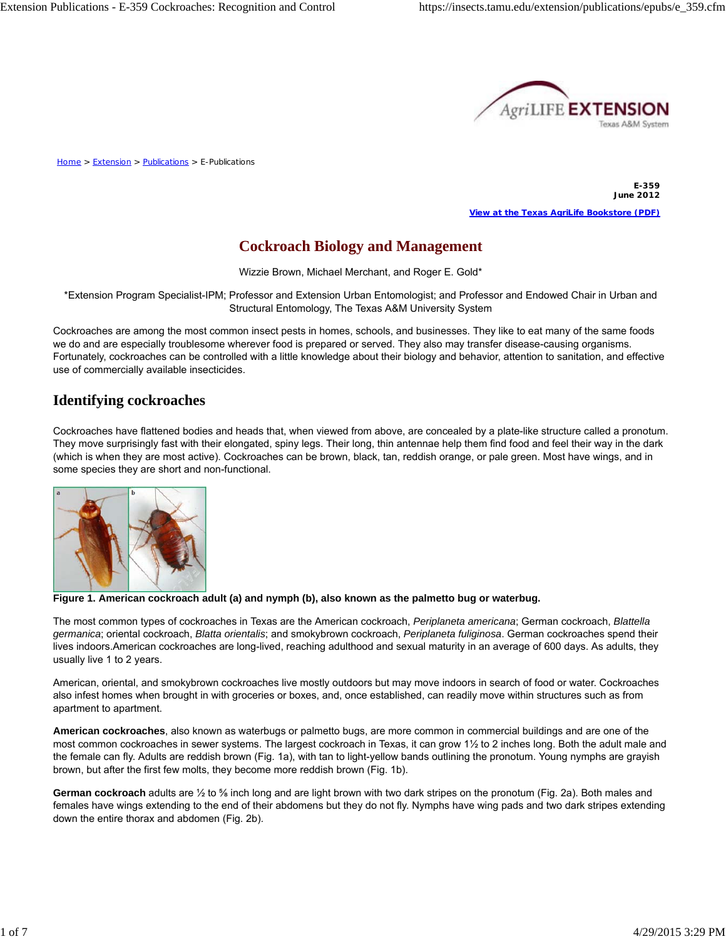

Home > Extension > Publications > E-Publications

**E-359 June 2012 View at the Texas AgriLife Bookstore (PDF)**

# **Cockroach Biology and Management**

Wizzie Brown, Michael Merchant, and Roger E. Gold\*

\*Extension Program Specialist-IPM; Professor and Extension Urban Entomologist; and Professor and Endowed Chair in Urban and Structural Entomology, The Texas A&M University System

Cockroaches are among the most common insect pests in homes, schools, and businesses. They like to eat many of the same foods we do and are especially troublesome wherever food is prepared or served. They also may transfer disease-causing organisms. Fortunately, cockroaches can be controlled with a little knowledge about their biology and behavior, attention to sanitation, and effective use of commercially available insecticides.

# **Identifying cockroaches**

Cockroaches have flattened bodies and heads that, when viewed from above, are concealed by a plate-like structure called a pronotum. They move surprisingly fast with their elongated, spiny legs. Their long, thin antennae help them find food and feel their way in the dark (which is when they are most active). Cockroaches can be brown, black, tan, reddish orange, or pale green. Most have wings, and in some species they are short and non-functional.



**Figure 1. American cockroach adult (a) and nymph (b), also known as the palmetto bug or waterbug.**

The most common types of cockroaches in Texas are the American cockroach, *Periplaneta americana*; German cockroach, *Blattella germanica*; oriental cockroach, *Blatta orientalis*; and smokybrown cockroach, *Periplaneta fuliginosa*. German cockroaches spend their lives indoors.American cockroaches are long-lived, reaching adulthood and sexual maturity in an average of 600 days. As adults, they usually live 1 to 2 years.

American, oriental, and smokybrown cockroaches live mostly outdoors but may move indoors in search of food or water. Cockroaches also infest homes when brought in with groceries or boxes, and, once established, can readily move within structures such as from apartment to apartment.

**American cockroaches**, also known as waterbugs or palmetto bugs, are more common in commercial buildings and are one of the most common cockroaches in sewer systems. The largest cockroach in Texas, it can grow 1½ to 2 inches long. Both the adult male and the female can fly. Adults are reddish brown (Fig. 1a), with tan to light-yellow bands outlining the pronotum. Young nymphs are grayish brown, but after the first few molts, they become more reddish brown (Fig. 1b).

**German cockroach** adults are ½ to ⅝ inch long and are light brown with two dark stripes on the pronotum (Fig. 2a). Both males and females have wings extending to the end of their abdomens but they do not fly. Nymphs have wing pads and two dark stripes extending down the entire thorax and abdomen (Fig. 2b).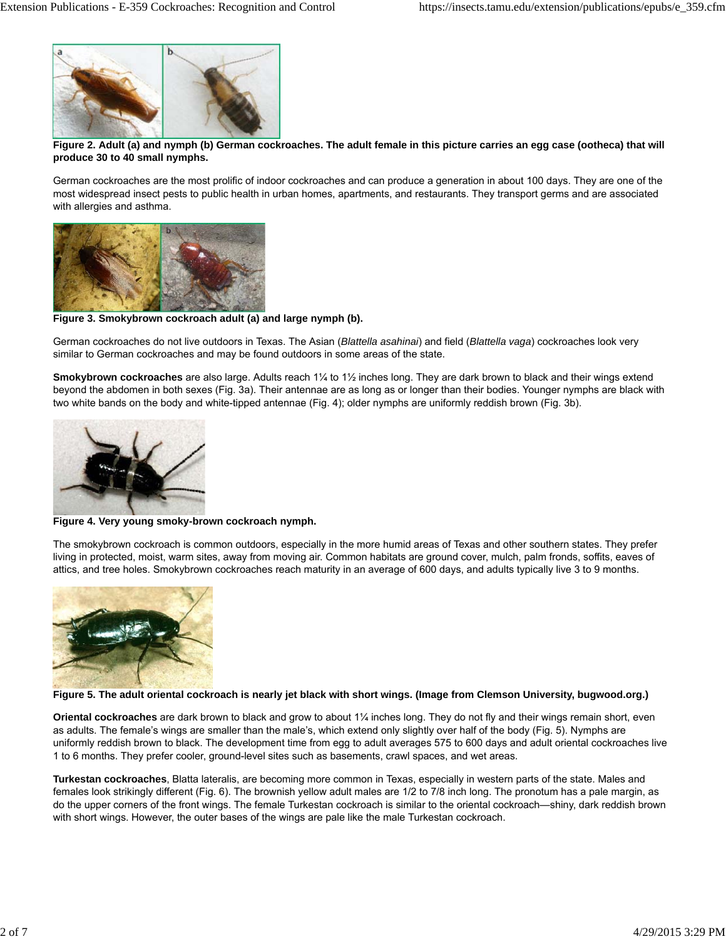

#### **Figure 2. Adult (a) and nymph (b) German cockroaches. The adult female in this picture carries an egg case (ootheca) that will produce 30 to 40 small nymphs.**

German cockroaches are the most prolific of indoor cockroaches and can produce a generation in about 100 days. They are one of the most widespread insect pests to public health in urban homes, apartments, and restaurants. They transport germs and are associated with allergies and asthma.



**Figure 3. Smokybrown cockroach adult (a) and large nymph (b).**

German cockroaches do not live outdoors in Texas. The Asian (*Blattella asahinai*) and field (*Blattella vaga*) cockroaches look very similar to German cockroaches and may be found outdoors in some areas of the state.

**Smokybrown cockroaches** are also large. Adults reach 1¼ to 1½ inches long. They are dark brown to black and their wings extend beyond the abdomen in both sexes (Fig. 3a). Their antennae are as long as or longer than their bodies. Younger nymphs are black with two white bands on the body and white-tipped antennae (Fig. 4); older nymphs are uniformly reddish brown (Fig. 3b).



**Figure 4. Very young smoky-brown cockroach nymph.**

The smokybrown cockroach is common outdoors, especially in the more humid areas of Texas and other southern states. They prefer living in protected, moist, warm sites, away from moving air. Common habitats are ground cover, mulch, palm fronds, soffits, eaves of attics, and tree holes. Smokybrown cockroaches reach maturity in an average of 600 days, and adults typically live 3 to 9 months.



**Figure 5. The adult oriental cockroach is nearly jet black with short wings. (Image from Clemson University, bugwood.org.)**

**Oriental cockroaches** are dark brown to black and grow to about 1¼ inches long. They do not fly and their wings remain short, even as adults. The female's wings are smaller than the male's, which extend only slightly over half of the body (Fig. 5). Nymphs are uniformly reddish brown to black. The development time from egg to adult averages 575 to 600 days and adult oriental cockroaches live 1 to 6 months. They prefer cooler, ground-level sites such as basements, crawl spaces, and wet areas.

**Turkestan cockroaches**, Blatta lateralis, are becoming more common in Texas, especially in western parts of the state. Males and females look strikingly different (Fig. 6). The brownish yellow adult males are 1/2 to 7/8 inch long. The pronotum has a pale margin, as do the upper corners of the front wings. The female Turkestan cockroach is similar to the oriental cockroach—shiny, dark reddish brown with short wings. However, the outer bases of the wings are pale like the male Turkestan cockroach.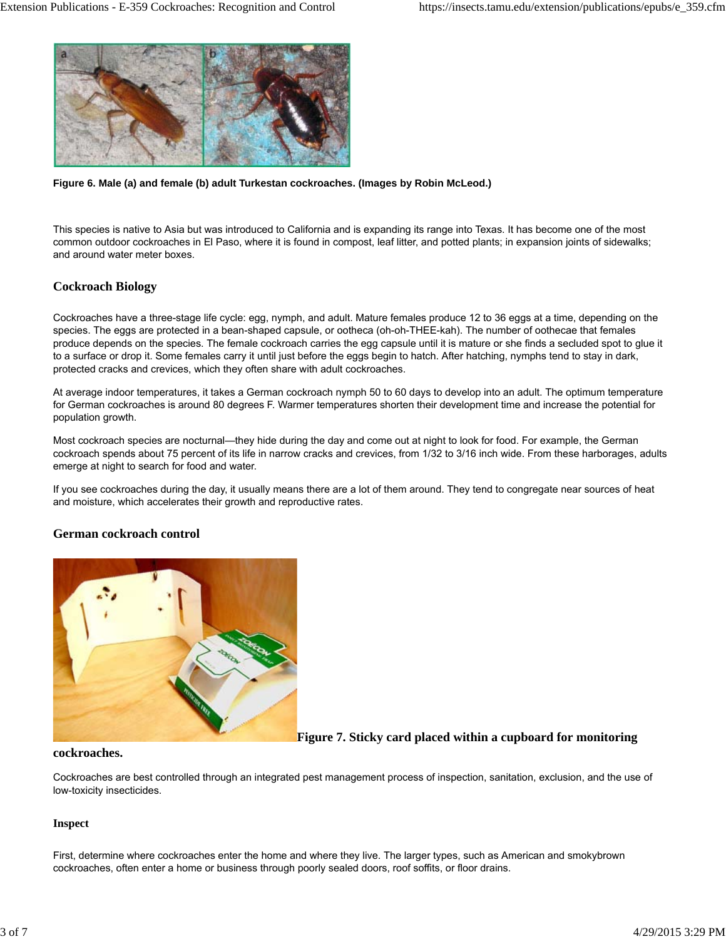

**Figure 6. Male (a) and female (b) adult Turkestan cockroaches. (Images by Robin McLeod.)**

This species is native to Asia but was introduced to California and is expanding its range into Texas. It has become one of the most common outdoor cockroaches in El Paso, where it is found in compost, leaf litter, and potted plants; in expansion joints of sidewalks; and around water meter boxes.

## **Cockroach Biology**

Cockroaches have a three-stage life cycle: egg, nymph, and adult. Mature females produce 12 to 36 eggs at a time, depending on the species. The eggs are protected in a bean-shaped capsule, or ootheca (oh-oh-THEE-kah). The number of oothecae that females produce depends on the species. The female cockroach carries the egg capsule until it is mature or she finds a secluded spot to glue it to a surface or drop it. Some females carry it until just before the eggs begin to hatch. After hatching, nymphs tend to stay in dark, protected cracks and crevices, which they often share with adult cockroaches.

At average indoor temperatures, it takes a German cockroach nymph 50 to 60 days to develop into an adult. The optimum temperature for German cockroaches is around 80 degrees F. Warmer temperatures shorten their development time and increase the potential for population growth.

Most cockroach species are nocturnal—they hide during the day and come out at night to look for food. For example, the German cockroach spends about 75 percent of its life in narrow cracks and crevices, from 1/32 to 3/16 inch wide. From these harborages, adults emerge at night to search for food and water.

If you see cockroaches during the day, it usually means there are a lot of them around. They tend to congregate near sources of heat and moisture, which accelerates their growth and reproductive rates.

## **German cockroach control**



**Figure 7. Sticky card placed within a cupboard for monitoring**

### **cockroaches.**

Cockroaches are best controlled through an integrated pest management process of inspection, sanitation, exclusion, and the use of low-toxicity insecticides.

### **Inspect**

First, determine where cockroaches enter the home and where they live. The larger types, such as American and smokybrown cockroaches, often enter a home or business through poorly sealed doors, roof soffits, or floor drains.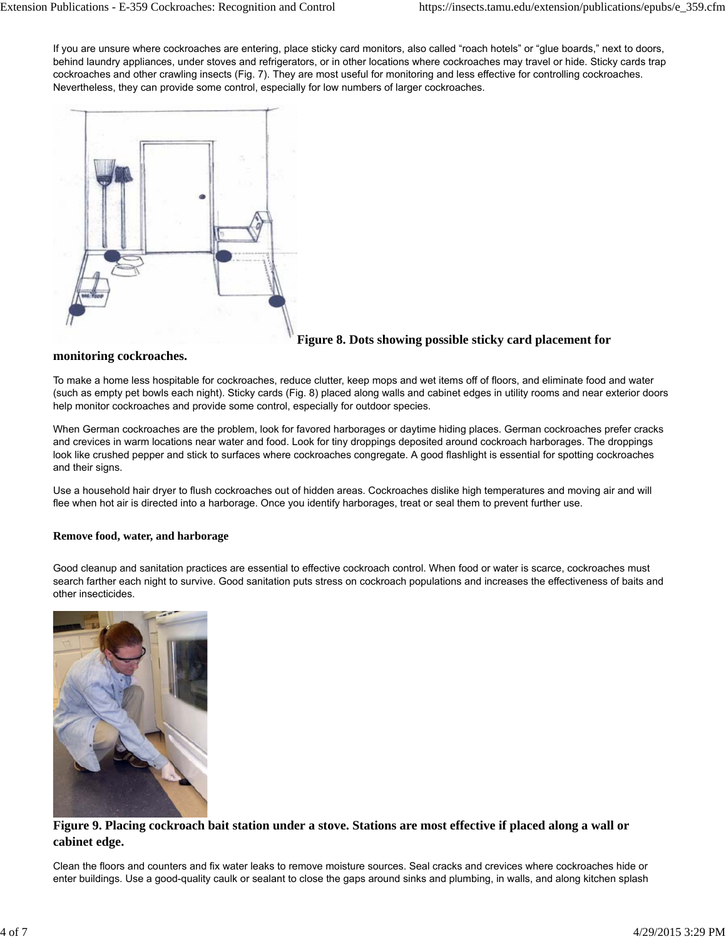If you are unsure where cockroaches are entering, place sticky card monitors, also called "roach hotels" or "glue boards," next to doors, behind laundry appliances, under stoves and refrigerators, or in other locations where cockroaches may travel or hide. Sticky cards trap cockroaches and other crawling insects (Fig. 7). They are most useful for monitoring and less effective for controlling cockroaches. Nevertheless, they can provide some control, especially for low numbers of larger cockroaches.



# **Figure 8. Dots showing possible sticky card placement for**

## **monitoring cockroaches.**

To make a home less hospitable for cockroaches, reduce clutter, keep mops and wet items off of floors, and eliminate food and water (such as empty pet bowls each night). Sticky cards (Fig. 8) placed along walls and cabinet edges in utility rooms and near exterior doors help monitor cockroaches and provide some control, especially for outdoor species.

When German cockroaches are the problem, look for favored harborages or daytime hiding places. German cockroaches prefer cracks and crevices in warm locations near water and food. Look for tiny droppings deposited around cockroach harborages. The droppings look like crushed pepper and stick to surfaces where cockroaches congregate. A good flashlight is essential for spotting cockroaches and their signs.

Use a household hair dryer to flush cockroaches out of hidden areas. Cockroaches dislike high temperatures and moving air and will flee when hot air is directed into a harborage. Once you identify harborages, treat or seal them to prevent further use.

## **Remove food, water, and harborage**

Good cleanup and sanitation practices are essential to effective cockroach control. When food or water is scarce, cockroaches must search farther each night to survive. Good sanitation puts stress on cockroach populations and increases the effectiveness of baits and other insecticides.



## **Figure 9. Placing cockroach bait station under a stove. Stations are most effective if placed along a wall or cabinet edge.**

Clean the floors and counters and fix water leaks to remove moisture sources. Seal cracks and crevices where cockroaches hide or enter buildings. Use a good-quality caulk or sealant to close the gaps around sinks and plumbing, in walls, and along kitchen splash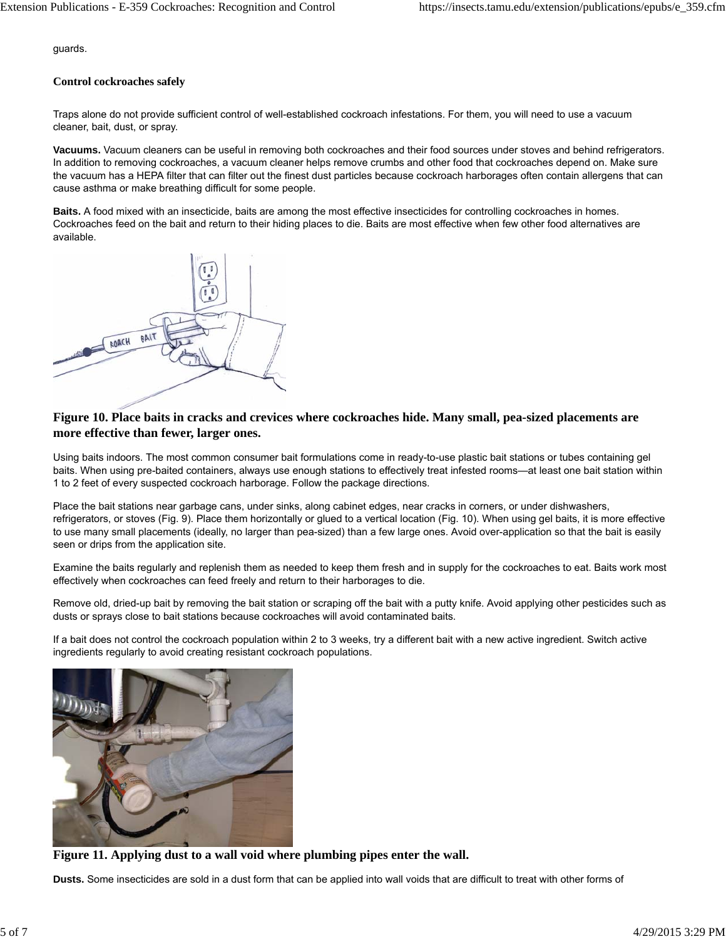guards.

#### **Control cockroaches safely**

Traps alone do not provide sufficient control of well-established cockroach infestations. For them, you will need to use a vacuum cleaner, bait, dust, or spray.

**Vacuums.** Vacuum cleaners can be useful in removing both cockroaches and their food sources under stoves and behind refrigerators. In addition to removing cockroaches, a vacuum cleaner helps remove crumbs and other food that cockroaches depend on. Make sure the vacuum has a HEPA filter that can filter out the finest dust particles because cockroach harborages often contain allergens that can cause asthma or make breathing difficult for some people.

**Baits.** A food mixed with an insecticide, baits are among the most effective insecticides for controlling cockroaches in homes. Cockroaches feed on the bait and return to their hiding places to die. Baits are most effective when few other food alternatives are available.



## **Figure 10. Place baits in cracks and crevices where cockroaches hide. Many small, pea-sized placements are more effective than fewer, larger ones.**

Using baits indoors. The most common consumer bait formulations come in ready-to-use plastic bait stations or tubes containing gel baits. When using pre-baited containers, always use enough stations to effectively treat infested rooms—at least one bait station within 1 to 2 feet of every suspected cockroach harborage. Follow the package directions.

Place the bait stations near garbage cans, under sinks, along cabinet edges, near cracks in corners, or under dishwashers, refrigerators, or stoves (Fig. 9). Place them horizontally or glued to a vertical location (Fig. 10). When using gel baits, it is more effective to use many small placements (ideally, no larger than pea-sized) than a few large ones. Avoid over-application so that the bait is easily seen or drips from the application site.

Examine the baits regularly and replenish them as needed to keep them fresh and in supply for the cockroaches to eat. Baits work most effectively when cockroaches can feed freely and return to their harborages to die.

Remove old, dried-up bait by removing the bait station or scraping off the bait with a putty knife. Avoid applying other pesticides such as dusts or sprays close to bait stations because cockroaches will avoid contaminated baits.

If a bait does not control the cockroach population within 2 to 3 weeks, try a different bait with a new active ingredient. Switch active ingredients regularly to avoid creating resistant cockroach populations.



**Figure 11. Applying dust to a wall void where plumbing pipes enter the wall.**

**Dusts.** Some insecticides are sold in a dust form that can be applied into wall voids that are difficult to treat with other forms of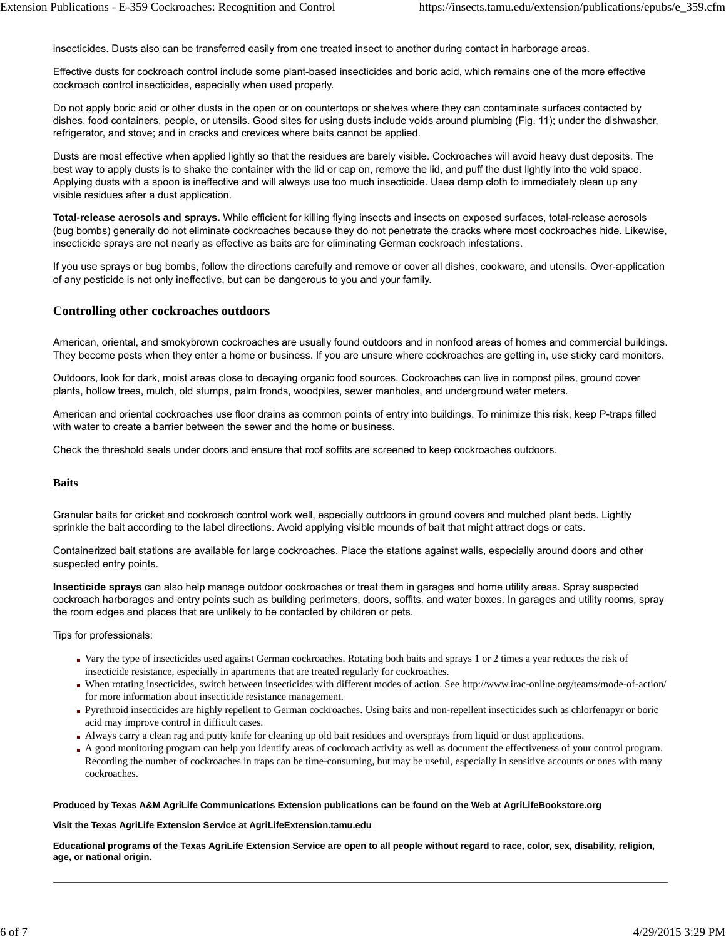insecticides. Dusts also can be transferred easily from one treated insect to another during contact in harborage areas.

Effective dusts for cockroach control include some plant-based insecticides and boric acid, which remains one of the more effective cockroach control insecticides, especially when used properly.

Do not apply boric acid or other dusts in the open or on countertops or shelves where they can contaminate surfaces contacted by dishes, food containers, people, or utensils. Good sites for using dusts include voids around plumbing (Fig. 11); under the dishwasher, refrigerator, and stove; and in cracks and crevices where baits cannot be applied.

Dusts are most effective when applied lightly so that the residues are barely visible. Cockroaches will avoid heavy dust deposits. The best way to apply dusts is to shake the container with the lid or cap on, remove the lid, and puff the dust lightly into the void space. Applying dusts with a spoon is ineffective and will always use too much insecticide. Usea damp cloth to immediately clean up any visible residues after a dust application.

**Total-release aerosols and sprays.** While efficient for killing flying insects and insects on exposed surfaces, total-release aerosols (bug bombs) generally do not eliminate cockroaches because they do not penetrate the cracks where most cockroaches hide. Likewise, insecticide sprays are not nearly as effective as baits are for eliminating German cockroach infestations.

If you use sprays or bug bombs, follow the directions carefully and remove or cover all dishes, cookware, and utensils. Over-application of any pesticide is not only ineffective, but can be dangerous to you and your family.

#### **Controlling other cockroaches outdoors**

American, oriental, and smokybrown cockroaches are usually found outdoors and in nonfood areas of homes and commercial buildings. They become pests when they enter a home or business. If you are unsure where cockroaches are getting in, use sticky card monitors.

Outdoors, look for dark, moist areas close to decaying organic food sources. Cockroaches can live in compost piles, ground cover plants, hollow trees, mulch, old stumps, palm fronds, woodpiles, sewer manholes, and underground water meters.

American and oriental cockroaches use floor drains as common points of entry into buildings. To minimize this risk, keep P-traps filled with water to create a barrier between the sewer and the home or business.

Check the threshold seals under doors and ensure that roof soffits are screened to keep cockroaches outdoors.

#### **Baits**

Granular baits for cricket and cockroach control work well, especially outdoors in ground covers and mulched plant beds. Lightly sprinkle the bait according to the label directions. Avoid applying visible mounds of bait that might attract dogs or cats.

Containerized bait stations are available for large cockroaches. Place the stations against walls, especially around doors and other suspected entry points.

**Insecticide sprays** can also help manage outdoor cockroaches or treat them in garages and home utility areas. Spray suspected cockroach harborages and entry points such as building perimeters, doors, soffits, and water boxes. In garages and utility rooms, spray the room edges and places that are unlikely to be contacted by children or pets.

Tips for professionals:

- Vary the type of insecticides used against German cockroaches. Rotating both baits and sprays 1 or 2 times a year reduces the risk of insecticide resistance, especially in apartments that are treated regularly for cockroaches.
- When rotating insecticides, switch between insecticides with different modes of action. See http://www.irac-online.org/teams/mode-of-action/ for more information about insecticide resistance management.
- Pyrethroid insecticides are highly repellent to German cockroaches. Using baits and non-repellent insecticides such as chlorfenapyr or boric acid may improve control in difficult cases.
- Always carry a clean rag and putty knife for cleaning up old bait residues and oversprays from liquid or dust applications.
- A good monitoring program can help you identify areas of cockroach activity as well as document the effectiveness of your control program. Recording the number of cockroaches in traps can be time-consuming, but may be useful, especially in sensitive accounts or ones with many cockroaches.

#### **Produced by Texas A&M AgriLife Communications Extension publications can be found on the Web at AgriLifeBookstore.org**

**Visit the Texas AgriLife Extension Service at AgriLifeExtension.tamu.edu**

**Educational programs of the Texas AgriLife Extension Service are open to all people without regard to race, color, sex, disability, religion, age, or national origin.**